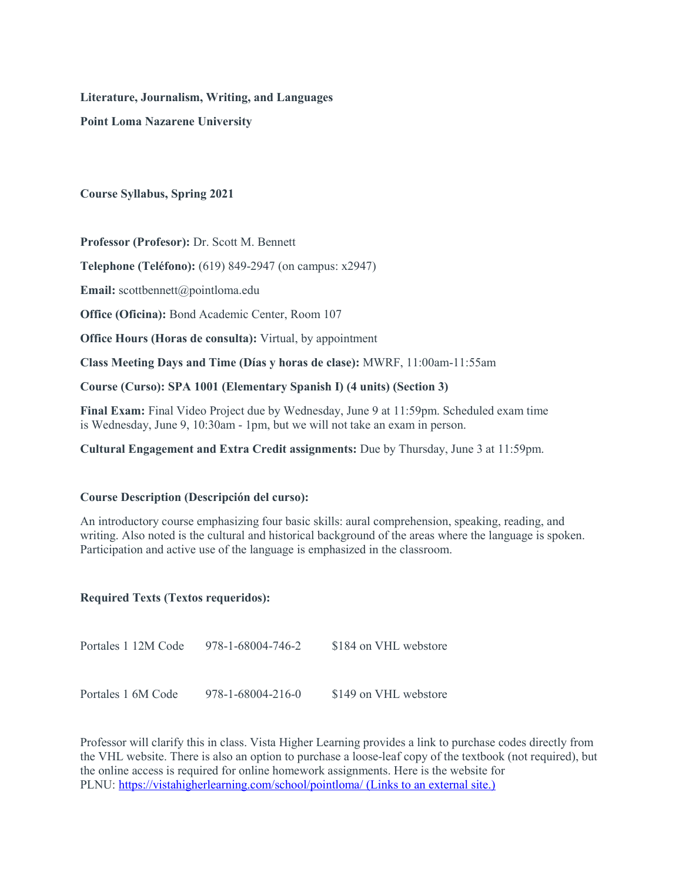**Literature, Journalism, Writing, and Languages**

**Point Loma Nazarene University**

**Course Syllabus, Spring 2021**

**Professor (Profesor):** Dr. Scott M. Bennett

**Telephone (Teléfono):** (619) 849-2947 (on campus: x2947)

**Email:** scottbennett@pointloma.edu

**Office (Oficina):** Bond Academic Center, Room 107

**Office Hours (Horas de consulta):** Virtual, by appointment

**Class Meeting Days and Time (Días y horas de clase):** MWRF, 11:00am-11:55am

**Course (Curso): SPA 1001 (Elementary Spanish I) (4 units) (Section 3)**

**Final Exam:** Final Video Project due by Wednesday, June 9 at 11:59pm. Scheduled exam time is Wednesday, June 9, 10:30am - 1pm, but we will not take an exam in person.

**Cultural Engagement and Extra Credit assignments:** Due by Thursday, June 3 at 11:59pm.

# **Course Description (Descripción del curso):**

An introductory course emphasizing four basic skills: aural comprehension, speaking, reading, and writing. Also noted is the cultural and historical background of the areas where the language is spoken. Participation and active use of the language is emphasized in the classroom.

# **Required Texts (Textos requeridos):**

| Portales 1 12M Code | 978-1-68004-746-2           | \$184 on VHL webstore |
|---------------------|-----------------------------|-----------------------|
|                     |                             |                       |
| Portales 1 6M Code  | $978 - 1 - 68004 - 216 - 0$ | \$149 on VHL webstore |

Professor will clarify this in class. Vista Higher Learning provides a link to purchase codes directly from the VHL website. There is also an option to purchase a loose-leaf copy of the textbook (not required), but the online access is required for online homework assignments. Here is the website for PLNU: <https://vistahigherlearning.com/school/pointloma/> (Links to an external site.)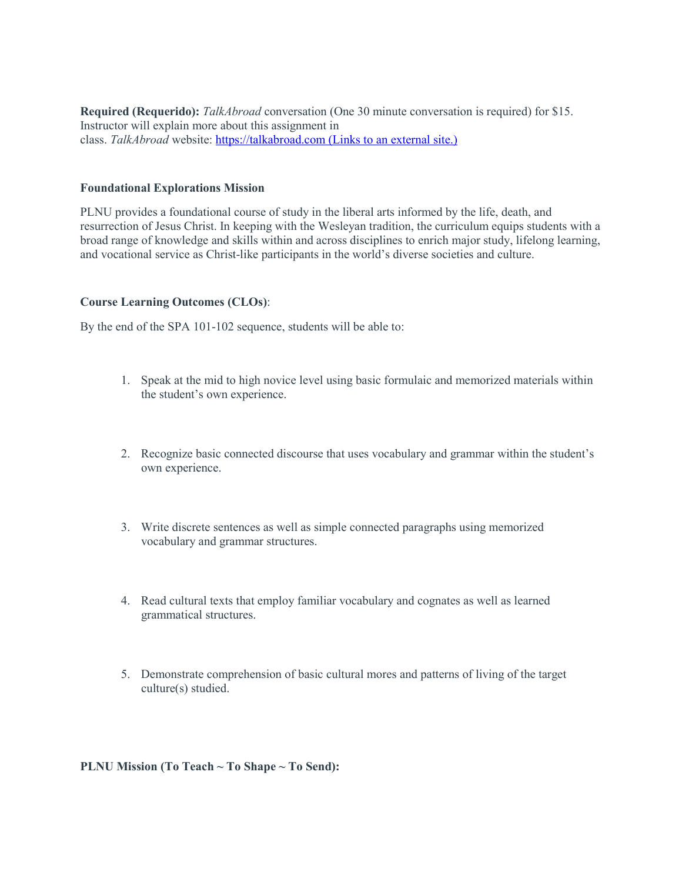**Required (Requerido):** *TalkAbroad* conversation (One 30 minute conversation is required) for \$15. Instructor will explain more about this assignment in class. *TalkAbroad* website: [https://talkabroad.com](https://talkabroad.com/) (Links to an external site.)

### **Foundational Explorations Mission**

PLNU provides a foundational course of study in the liberal arts informed by the life, death, and resurrection of Jesus Christ. In keeping with the Wesleyan tradition, the curriculum equips students with a broad range of knowledge and skills within and across disciplines to enrich major study, lifelong learning, and vocational service as Christ-like participants in the world's diverse societies and culture.

### **Course Learning Outcomes (CLOs)**:

By the end of the SPA 101-102 sequence, students will be able to:

- 1. Speak at the mid to high novice level using basic formulaic and memorized materials within the student's own experience.
- 2. Recognize basic connected discourse that uses vocabulary and grammar within the student's own experience.
- 3. Write discrete sentences as well as simple connected paragraphs using memorized vocabulary and grammar structures.
- 4. Read cultural texts that employ familiar vocabulary and cognates as well as learned grammatical structures.
- 5. Demonstrate comprehension of basic cultural mores and patterns of living of the target culture(s) studied.

**PLNU Mission (To Teach ~ To Shape ~ To Send):**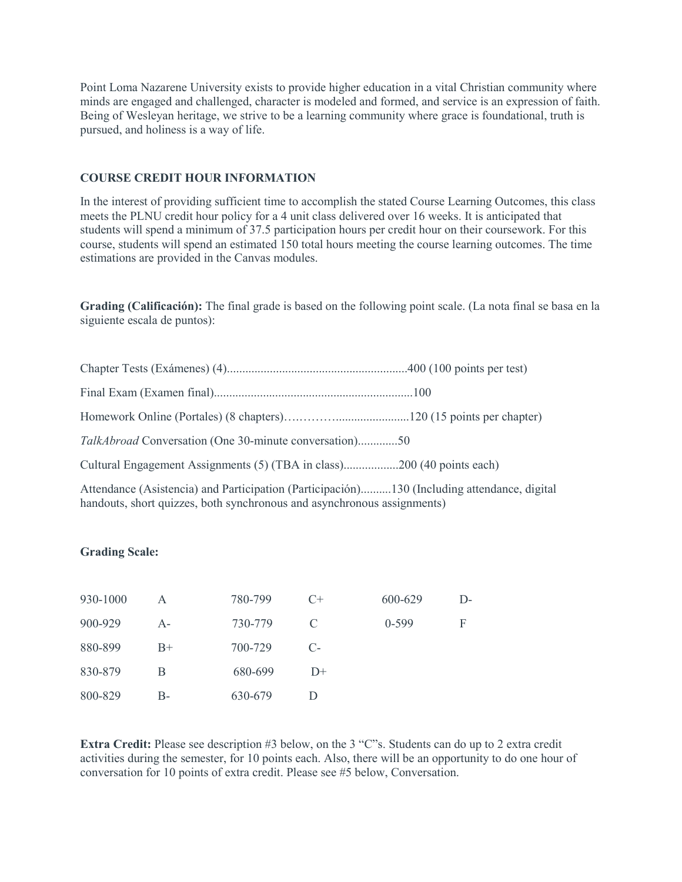Point Loma Nazarene University exists to provide higher education in a vital Christian community where minds are engaged and challenged, character is modeled and formed, and service is an expression of faith. Being of Wesleyan heritage, we strive to be a learning community where grace is foundational, truth is pursued, and holiness is a way of life.

# **COURSE CREDIT HOUR INFORMATION**

In the interest of providing sufficient time to accomplish the stated Course Learning Outcomes, this class meets the PLNU credit hour policy for a 4 unit class delivered over 16 weeks. It is anticipated that students will spend a minimum of 37.5 participation hours per credit hour on their coursework. For this course, students will spend an estimated 150 total hours meeting the course learning outcomes. The time estimations are provided in the Canvas modules.

**Grading (Calificación):** The final grade is based on the following point scale. (La nota final se basa en la siguiente escala de puntos):

| TalkAbroad Conversation (One 30-minute conversation)50                 |  |
|------------------------------------------------------------------------|--|
| Cultural Engagement Assignments (5) (TBA in class)200 (40 points each) |  |
|                                                                        |  |

Attendance (Asistencia) and Participation (Participación)..........130 (Including attendance, digital handouts, short quizzes, both synchronous and asynchronous assignments)

# **Grading Scale:**

| 930-1000 | А     | 780-799 | $C_{\pm}$ | 600-629   | D- |
|----------|-------|---------|-----------|-----------|----|
| 900-929  | $A -$ | 730-779 | C         | $0 - 599$ | F  |
| 880-899  | $B+$  | 700-729 | $C_{\Xi}$ |           |    |
| 830-879  | В     | 680-699 | $D+$      |           |    |
| 800-829  | B-    | 630-679 |           |           |    |

**Extra Credit:** Please see description #3 below, on the 3 "C"s. Students can do up to 2 extra credit activities during the semester, for 10 points each. Also, there will be an opportunity to do one hour of conversation for 10 points of extra credit. Please see #5 below, Conversation.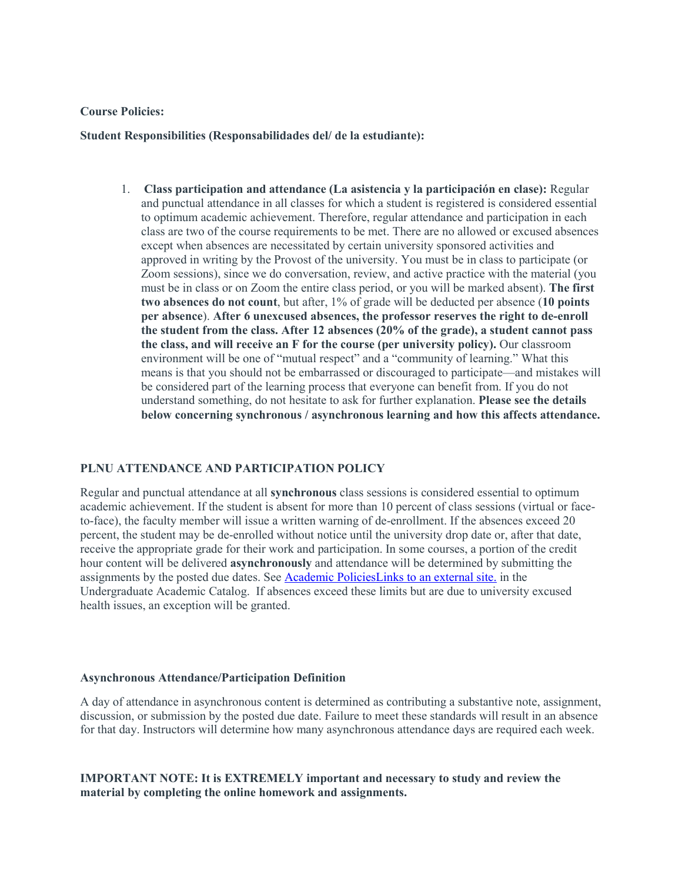#### **Course Policies:**

**Student Responsibilities (Responsabilidades del/ de la estudiante):**

1. **Class participation and attendance (La asistencia y la participación en clase):** Regular and punctual attendance in all classes for which a student is registered is considered essential to optimum academic achievement. Therefore, regular attendance and participation in each class are two of the course requirements to be met. There are no allowed or excused absences except when absences are necessitated by certain university sponsored activities and approved in writing by the Provost of the university. You must be in class to participate (or Zoom sessions), since we do conversation, review, and active practice with the material (you must be in class or on Zoom the entire class period, or you will be marked absent). **The first two absences do not count**, but after, 1% of grade will be deducted per absence (**10 points per absence**). **After 6 unexcused absences, the professor reserves the right to de-enroll the student from the class. After 12 absences (20% of the grade), a student cannot pass the class, and will receive an F for the course (per university policy).** Our classroom environment will be one of "mutual respect" and a "community of learning." What this means is that you should not be embarrassed or discouraged to participate—and mistakes will be considered part of the learning process that everyone can benefit from. If you do not understand something, do not hesitate to ask for further explanation. **Please see the details below concerning synchronous / asynchronous learning and how this affects attendance.**

# **PLNU ATTENDANCE AND PARTICIPATION POLICY**

Regular and punctual attendance at all **synchronous** class sessions is considered essential to optimum academic achievement. If the student is absent for more than 10 percent of class sessions (virtual or faceto-face), the faculty member will issue a written warning of de-enrollment. If the absences exceed 20 percent, the student may be de-enrolled without notice until the university drop date or, after that date, receive the appropriate grade for their work and participation. In some courses, a portion of the credit hour content will be delivered **asynchronously** and attendance will be determined by submitting the assignments by the posted due dates. See [Academic PoliciesLinks](https://catalog.pointloma.edu/content.php?catoid=46&navoid=2650#Class_Attendance) to an external site. in the Undergraduate Academic Catalog. If absences exceed these limits but are due to university excused health issues, an exception will be granted.

#### **Asynchronous Attendance/Participation Definition**

A day of attendance in asynchronous content is determined as contributing a substantive note, assignment, discussion, or submission by the posted due date. Failure to meet these standards will result in an absence for that day. Instructors will determine how many asynchronous attendance days are required each week.

**IMPORTANT NOTE: It is EXTREMELY important and necessary to study and review the material by completing the online homework and assignments.**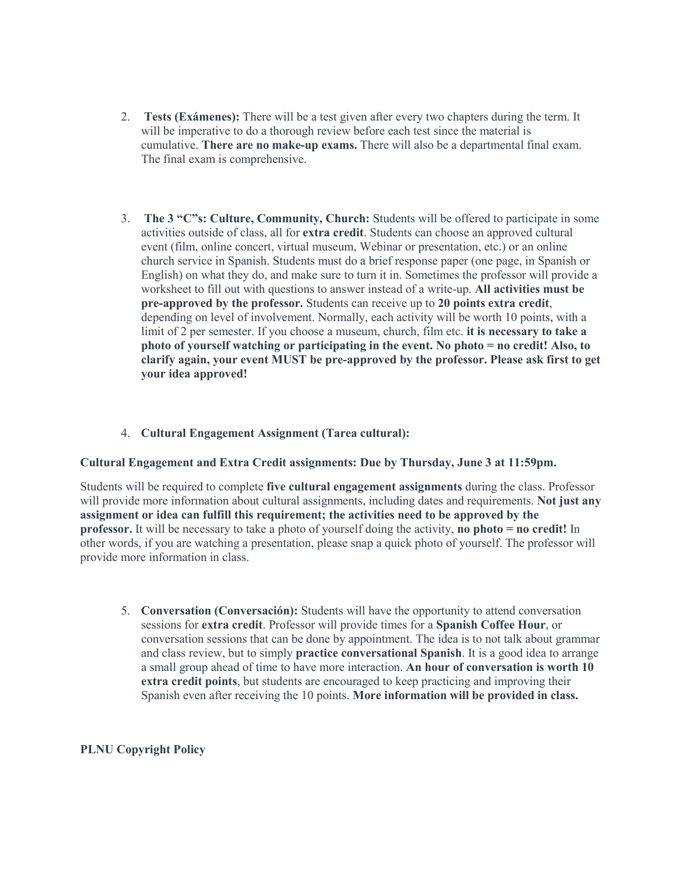- 2. **Tests (Exámenes):** There will be a test given after every two chapters during the term. It will be imperative to do a thorough review before each test since the material is cumulative. **There are no make-up exams.** There will also be a departmental final exam. The final exam is comprehensive.
- 3. **The 3 "C"s: Culture, Community, Church:** Students will be offered to participate in some activities outside of class, all for **extra credit**. Students can choose an approved cultural event (film, online concert, virtual museum, Webinar or presentation, etc.) or an online church service in Spanish. Students must do a brief response paper (one page, in Spanish or English) on what they do, and make sure to turn it in. Sometimes the professor will provide a worksheet to fill out with questions to answer instead of a write-up. **All activities must be pre-approved by the professor.** Students can receive up to **20 points extra credit**, depending on level of involvement. Normally, each activity will be worth 10 points, with a limit of 2 per semester. If you choose a museum, church, film etc. **it is necessary to take a photo of yourself watching or participating in the event. No photo = no credit! Also, to clarify again, your event MUST be pre-approved by the professor. Please ask first to get your idea approved!**
- 4. **Cultural Engagement Assignment (Tarea cultural):**

# **Cultural Engagement and Extra Credit assignments: Due by Thursday, June 3 at 11:59pm.**

Students will be required to complete **five cultural engagement assignments** during the class. Professor will provide more information about cultural assignments, including dates and requirements. **Not just any assignment or idea can fulfill this requirement; the activities need to be approved by the professor.** It will be necessary to take a photo of yourself doing the activity, **no photo = no credit!** In other words, if you are watching a presentation, please snap a quick photo of yourself. The professor will provide more information in class.

5. **Conversation (Conversación):** Students will have the opportunity to attend conversation sessions for **extra credit**. Professor will provide times for a **Spanish Coffee Hour**, or conversation sessions that can be done by appointment. The idea is to not talk about grammar and class review, but to simply **practice conversational Spanish**. It is a good idea to arrange a small group ahead of time to have more interaction. **An hour of conversation is worth 10 extra credit points**, but students are encouraged to keep practicing and improving their Spanish even after receiving the 10 points. **More information will be provided in class.**

# **PLNU Copyright Policy**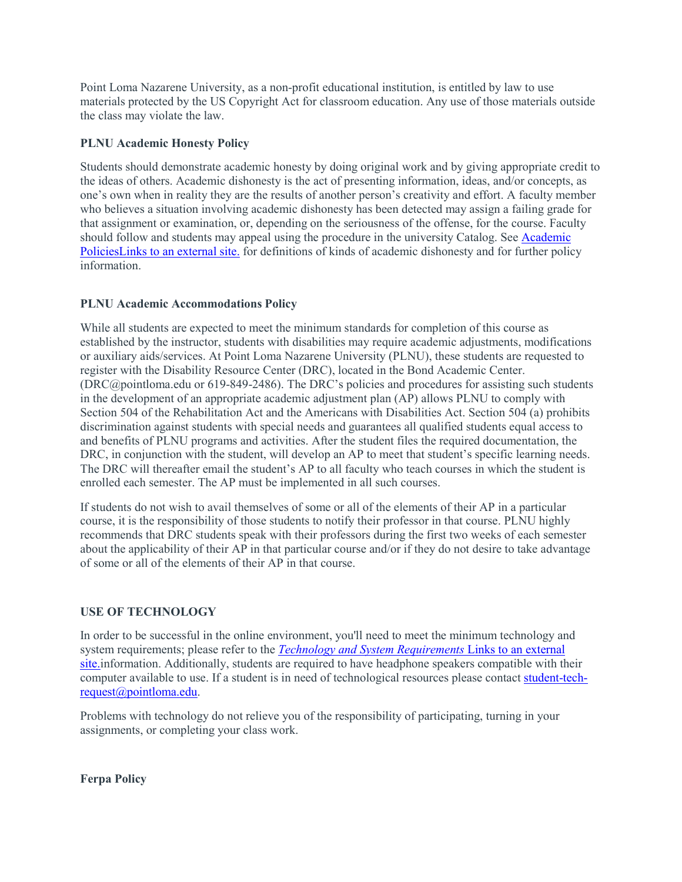Point Loma Nazarene University, as a non-profit educational institution, is entitled by law to use materials protected by the US Copyright Act for classroom education. Any use of those materials outside the class may violate the law.

# **PLNU Academic Honesty Policy**

Students should demonstrate academic honesty by doing original work and by giving appropriate credit to the ideas of others. Academic dishonesty is the act of presenting information, ideas, and/or concepts, as one's own when in reality they are the results of another person's creativity and effort. A faculty member who believes a situation involving academic dishonesty has been detected may assign a failing grade for that assignment or examination, or, depending on the seriousness of the offense, for the course. Faculty should follow and students may appeal using the procedure in the university Catalog. See [Academic](http://catalog.pointloma.edu/content.php?catoid=18&navoid=1278)  [PoliciesLinks](http://catalog.pointloma.edu/content.php?catoid=18&navoid=1278) to an external site. for definitions of kinds of academic dishonesty and for further policy information.

# **PLNU Academic Accommodations Policy**

While all students are expected to meet the minimum standards for completion of this course as established by the instructor, students with disabilities may require academic adjustments, modifications or auxiliary aids/services. At Point Loma Nazarene University (PLNU), these students are requested to register with the Disability Resource Center (DRC), located in the Bond Academic Center. (DRC@pointloma.edu or 619-849-2486). The DRC's policies and procedures for assisting such students in the development of an appropriate academic adjustment plan (AP) allows PLNU to comply with Section 504 of the Rehabilitation Act and the Americans with Disabilities Act. Section 504 (a) prohibits discrimination against students with special needs and guarantees all qualified students equal access to and benefits of PLNU programs and activities. After the student files the required documentation, the DRC, in conjunction with the student, will develop an AP to meet that student's specific learning needs. The DRC will thereafter email the student's AP to all faculty who teach courses in which the student is enrolled each semester. The AP must be implemented in all such courses.

If students do not wish to avail themselves of some or all of the elements of their AP in a particular course, it is the responsibility of those students to notify their professor in that course. PLNU highly recommends that DRC students speak with their professors during the first two weeks of each semester about the applicability of their AP in that particular course and/or if they do not desire to take advantage of some or all of the elements of their AP in that course.

# **USE OF TECHNOLOGY**

In order to be successful in the online environment, you'll need to meet the minimum technology and system requirements; please refer to the *[Technology and System Requirements](https://help.pointloma.edu/TDClient/1808/Portal/KB/ArticleDet?ID=108349)* Links to an external [site.i](https://help.pointloma.edu/TDClient/1808/Portal/KB/ArticleDet?ID=108349)nformation. Additionally, students are required to have headphone speakers compatible with their computer available to use. If a student is in need of technological resources please contact [student-tech](mailto:student-tech-request@pointloma.edu)[request@pointloma.edu.](mailto:student-tech-request@pointloma.edu)

Problems with technology do not relieve you of the responsibility of participating, turning in your assignments, or completing your class work.

**Ferpa Policy**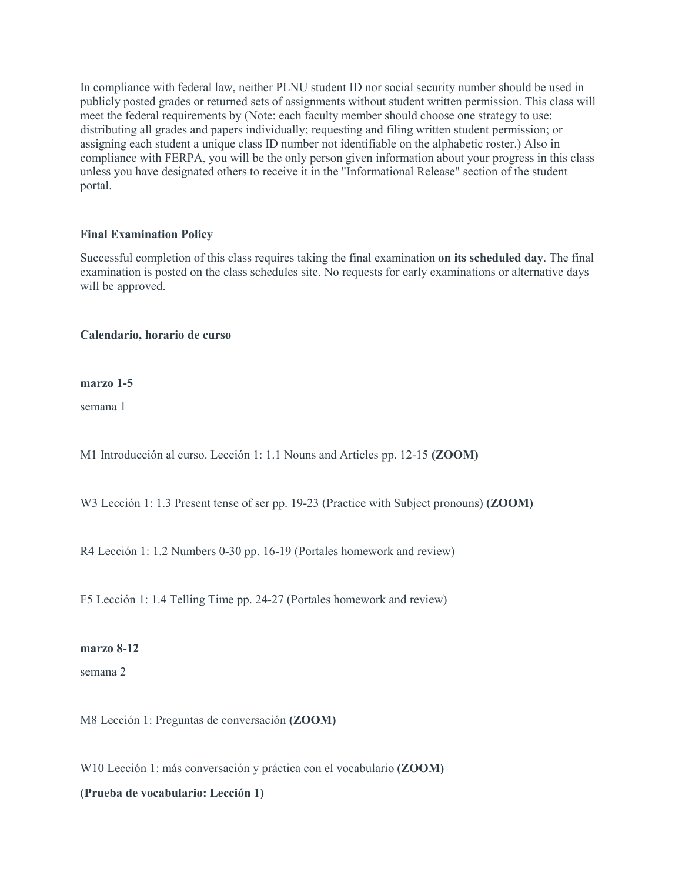In compliance with federal law, neither PLNU student ID nor social security number should be used in publicly posted grades or returned sets of assignments without student written permission. This class will meet the federal requirements by (Note: each faculty member should choose one strategy to use: distributing all grades and papers individually; requesting and filing written student permission; or assigning each student a unique class ID number not identifiable on the alphabetic roster.) Also in compliance with FERPA, you will be the only person given information about your progress in this class unless you have designated others to receive it in the "Informational Release" section of the student portal.

### **Final Examination Policy**

Successful completion of this class requires taking the final examination **on its scheduled day**. The final examination is posted on the class schedules site. No requests for early examinations or alternative days will be approved.

**Calendario, horario de curso**

**marzo 1-5**

semana 1

M1 Introducción al curso. Lección 1: 1.1 Nouns and Articles pp. 12-15 **(ZOOM)**

W<sub>3</sub> Lección 1: 1.3 Present tense of ser pp. 19-23 (Practice with Subject pronouns) **(ZOOM)** 

R4 Lección 1: 1.2 Numbers 0-30 pp. 16-19 (Portales homework and review)

F5 Lección 1: 1.4 Telling Time pp. 24-27 (Portales homework and review)

#### **marzo 8-12**

semana 2

M8 Lección 1: Preguntas de conversación **(ZOOM)**

W10 Lección 1: más conversación y práctica con el vocabulario **(ZOOM)**

**(Prueba de vocabulario: Lección 1)**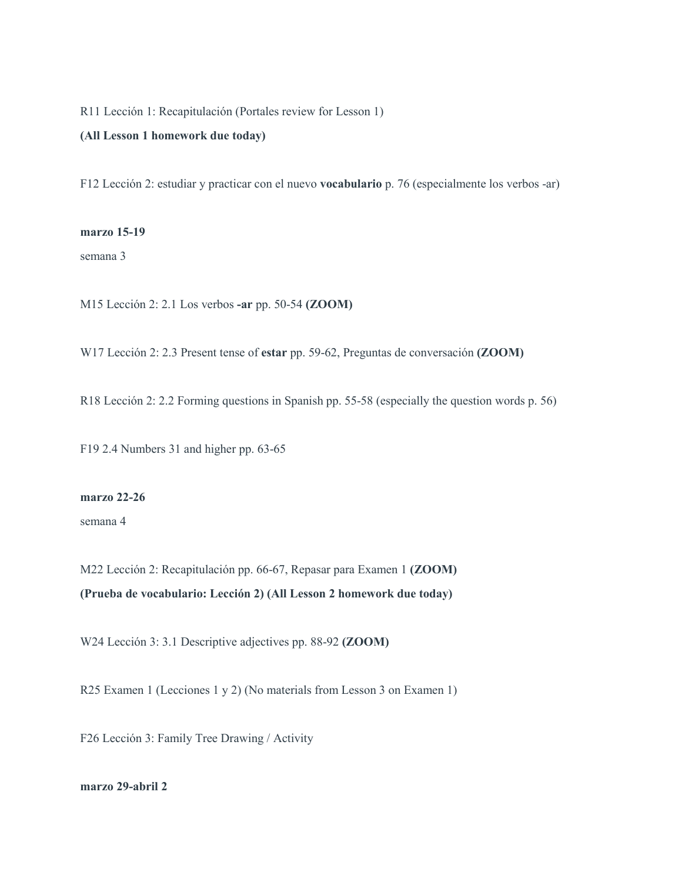R11 Lección 1: Recapitulación (Portales review for Lesson 1)

# **(All Lesson 1 homework due today)**

F12 Lección 2: estudiar y practicar con el nuevo **vocabulario** p. 76 (especialmente los verbos -ar)

#### **marzo 15-19**

semana 3

M15 Lección 2: 2.1 Los verbos **-ar** pp. 50-54 **(ZOOM)**

W17 Lección 2: 2.3 Present tense of **estar** pp. 59-62, Preguntas de conversación **(ZOOM)**

R18 Lección 2: 2.2 Forming questions in Spanish pp. 55-58 (especially the question words p. 56)

F19 2.4 Numbers 31 and higher pp. 63-65

# **marzo 22-26**

semana 4

M22 Lección 2: Recapitulación pp. 66-67, Repasar para Examen 1 **(ZOOM) (Prueba de vocabulario: Lección 2) (All Lesson 2 homework due today)**

W24 Lección 3: 3.1 Descriptive adjectives pp. 88-92 **(ZOOM)**

R25 Examen 1 (Lecciones 1 y 2) (No materials from Lesson 3 on Examen 1)

F26 Lección 3: Family Tree Drawing / Activity

**marzo 29-abril 2**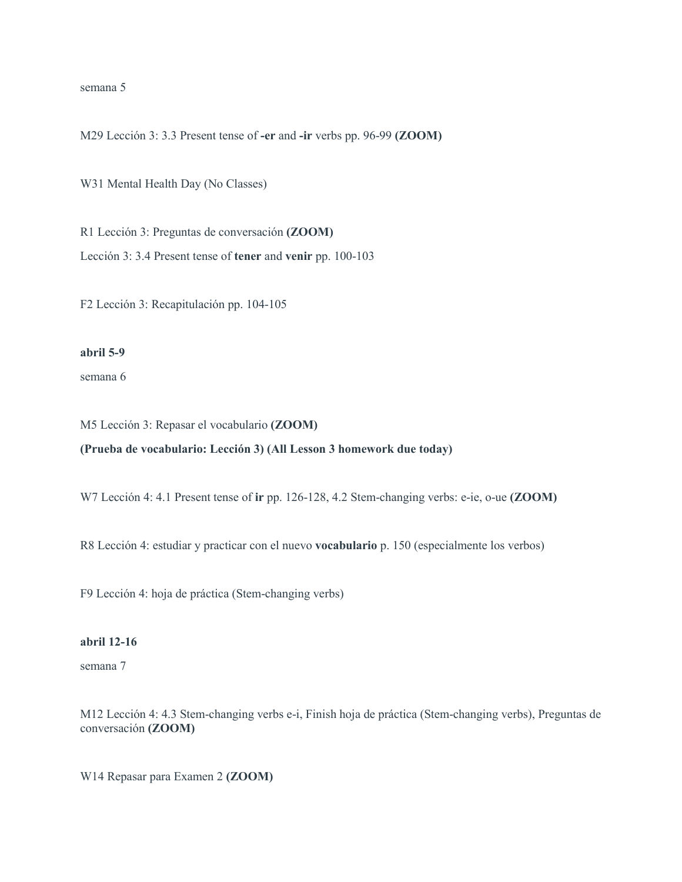semana 5

M29 Lección 3: 3.3 Present tense of **-er** and **-ir** verbs pp. 96-99 **(ZOOM)**

W31 Mental Health Day (No Classes)

R1 Lección 3: Preguntas de conversación **(ZOOM)** Lección 3: 3.4 Present tense of **tener** and **venir** pp. 100-103

F2 Lección 3: Recapitulación pp. 104-105

# **abril 5-9**

semana 6

M5 Lección 3: Repasar el vocabulario **(ZOOM)**

# **(Prueba de vocabulario: Lección 3) (All Lesson 3 homework due today)**

W7 Lección 4: 4.1 Present tense of **ir** pp. 126-128, 4.2 Stem-changing verbs: e-ie, o-ue **(ZOOM)**

R8 Lección 4: estudiar y practicar con el nuevo **vocabulario** p. 150 (especialmente los verbos)

F9 Lección 4: hoja de práctica (Stem-changing verbs)

#### **abril 12-16**

semana 7

M12 Lección 4: 4.3 Stem-changing verbs e-i, Finish hoja de práctica (Stem-changing verbs), Preguntas de conversación **(ZOOM)**

W14 Repasar para Examen 2 **(ZOOM)**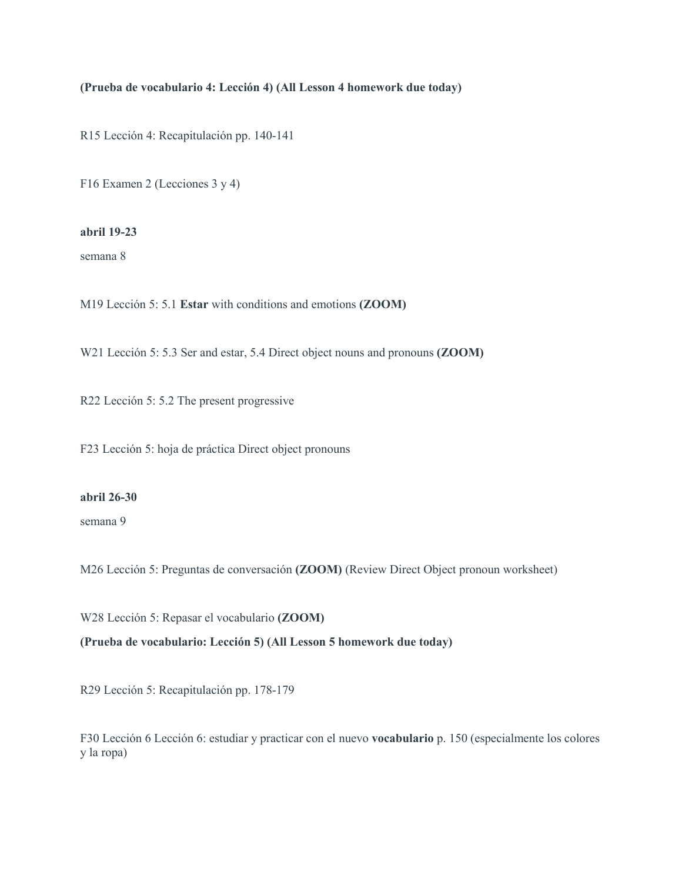### **(Prueba de vocabulario 4: Lección 4) (All Lesson 4 homework due today)**

R15 Lección 4: Recapitulación pp. 140-141

F16 Examen 2 (Lecciones 3 y 4)

### **abril 19-23**

semana 8

M19 Lección 5: 5.1 **Estar** with conditions and emotions **(ZOOM)**

W21 Lección 5: 5.3 Ser and estar, 5.4 Direct object nouns and pronouns **(ZOOM)**

R22 Lección 5: 5.2 The present progressive

F23 Lección 5: hoja de práctica Direct object pronouns

# **abril 26-30**

semana 9

M26 Lección 5: Preguntas de conversación **(ZOOM)** (Review Direct Object pronoun worksheet)

W28 Lección 5: Repasar el vocabulario **(ZOOM)**

**(Prueba de vocabulario: Lección 5) (All Lesson 5 homework due today)**

R29 Lección 5: Recapitulación pp. 178-179

F30 Lección 6 Lección 6: estudiar y practicar con el nuevo **vocabulario** p. 150 (especialmente los colores y la ropa)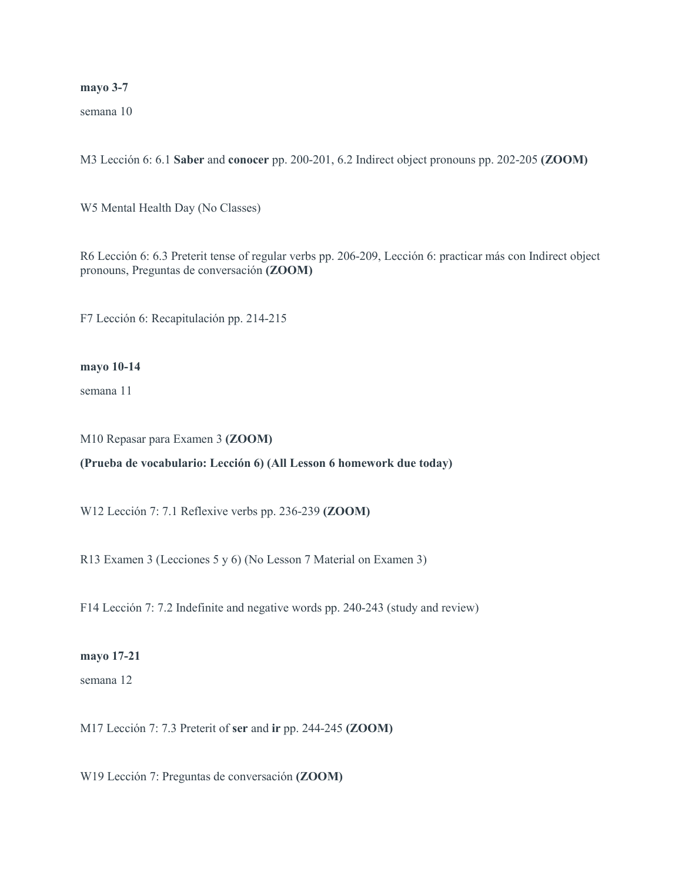**mayo 3-7**

semana 10

M3 Lección 6: 6.1 **Saber** and **conocer** pp. 200-201, 6.2 Indirect object pronouns pp. 202-205 **(ZOOM)**

W5 Mental Health Day (No Classes)

R6 Lección 6: 6.3 Preterit tense of regular verbs pp. 206-209, Lección 6: practicar más con Indirect object pronouns, Preguntas de conversación **(ZOOM)**

F7 Lección 6: Recapitulación pp. 214-215

#### **mayo 10-14**

semana 11

M10 Repasar para Examen 3 **(ZOOM)**

**(Prueba de vocabulario: Lección 6) (All Lesson 6 homework due today)**

W12 Lección 7: 7.1 Reflexive verbs pp. 236-239 **(ZOOM)**

R13 Examen 3 (Lecciones 5 y 6) (No Lesson 7 Material on Examen 3)

F14 Lección 7: 7.2 Indefinite and negative words pp. 240-243 (study and review)

# **mayo 17-21**

semana 12

M17 Lección 7: 7.3 Preterit of **ser** and **ir** pp. 244-245 **(ZOOM)**

W19 Lección 7: Preguntas de conversación **(ZOOM)**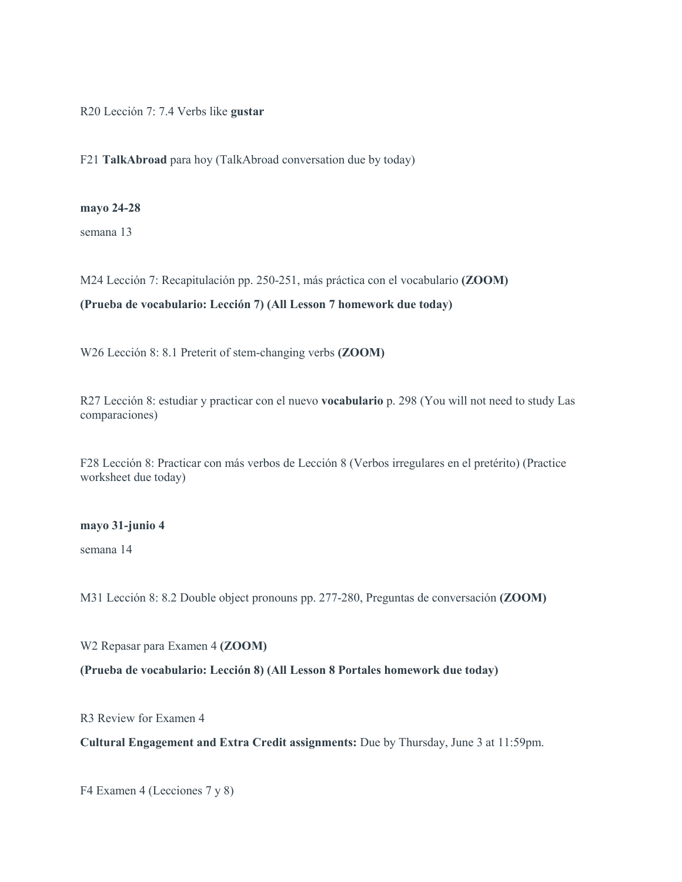R20 Lección 7: 7.4 Verbs like **gustar**

F21 **TalkAbroad** para hoy (TalkAbroad conversation due by today)

#### **mayo 24-28**

semana 13

M24 Lección 7: Recapitulación pp. 250-251, más práctica con el vocabulario **(ZOOM)**

**(Prueba de vocabulario: Lección 7) (All Lesson 7 homework due today)**

W26 Lección 8: 8.1 Preterit of stem-changing verbs **(ZOOM)**

R27 Lección 8: estudiar y practicar con el nuevo **vocabulario** p. 298 (You will not need to study Las comparaciones)

F28 Lección 8: Practicar con más verbos de Lección 8 (Verbos irregulares en el pretérito) (Practice worksheet due today)

#### **mayo 31-junio 4**

semana 14

M31 Lección 8: 8.2 Double object pronouns pp. 277-280, Preguntas de conversación **(ZOOM)**

W2 Repasar para Examen 4 **(ZOOM)**

**(Prueba de vocabulario: Lección 8) (All Lesson 8 Portales homework due today)**

R3 Review for Examen 4

**Cultural Engagement and Extra Credit assignments:** Due by Thursday, June 3 at 11:59pm.

F4 Examen 4 (Lecciones 7 y 8)